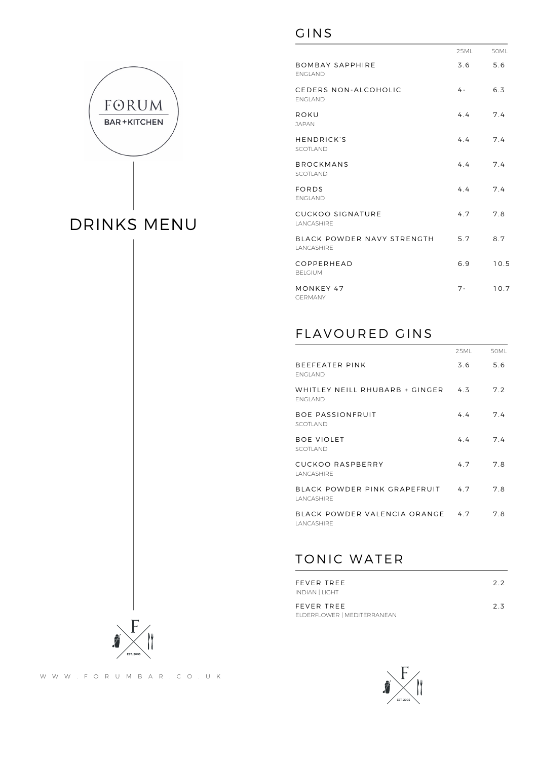

### GINS

|                                           | 25ML  | <b>50ML</b> |
|-------------------------------------------|-------|-------------|
| <b>BOMBAY SAPPHIRE</b><br><b>FNGI AND</b> | 3.6   | 5.6         |
| CEDERS NON-ALCOHOLIC<br><b>FNGI AND</b>   | 4 -   | 6.3         |
| ROKU<br><b>JAPAN</b>                      | 4.4   | 7.4         |
| HENDRICK'S<br>SCOTLAND                    | 4.4   | 7.4         |
| <b>BROCKMANS</b><br>SCOTLAND              | 4.4   | 7.4         |
| FORDS<br><b>FNGI AND</b>                  | 4.4   | 7.4         |
| <b>CUCKOO SIGNATURE</b><br>LANCASHIRE     | 4.7   | 7.8         |
| BLACK POWDER NAVY STRENGTH<br>LANCASHIRE  | 5.7   | 8.7         |
| COPPERHEAD<br><b>BELGIUM</b>              | 6.9   | 10.5        |
| MONKEY 47<br><b>GERMANY</b>               | $7 -$ | 10.7        |
|                                           |       |             |

# FLAVOURED GINS

|                                                    | 25ML | 50ML |
|----------------------------------------------------|------|------|
| BEEFEATER PINK<br><b>FNGI AND</b>                  | 3.6  | 5.6  |
| WHITLEY NEILL RHUBARB + GINGER<br><b>FNGI AND</b>  | 4.3  | 7.2  |
| <b>BOE PASSIONFRUIT</b><br>SCOTI AND               | 44   | 7.4  |
| <b>BOE VIOLET</b><br>SCOTI AND                     | 4.4  | 7.4  |
| CUCKOO RASPBERRY<br><b>I ANCASHIRE</b>             | 4.7  | 7.8  |
| BLACK POWDER PINK GRAPEFRUIT<br><b>I ANCASHIRE</b> | 47   | 7.8  |
| BLACK POWDER VALENCIA ORANGE<br><b>I ANCASHIRE</b> | 4.7  | 7.8  |
|                                                    |      |      |

## TONIC WATER

| FEVER TREE<br><b>INDIAN   LIGHT</b>       | 22 |
|-------------------------------------------|----|
| FEVER TREE<br>ELDERFLOWER   MEDITERRANEAN | 23 |



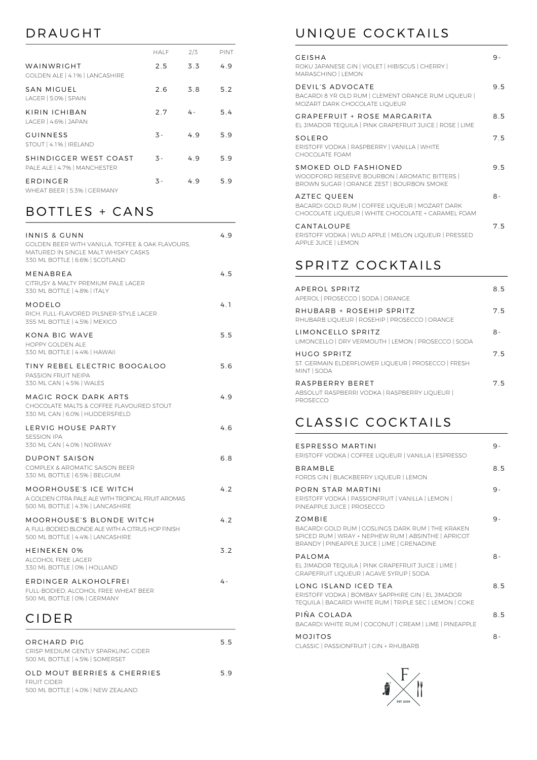# DRAUGHT

|                                                       | HALF             | 2/3 | PINT |
|-------------------------------------------------------|------------------|-----|------|
| WAINWRIGHT<br>GOLDEN ALE   4.1%   LANCASHIRE          | 2.5              | 3.3 | 4.9  |
| SAN MIGUEL<br>LAGER   5.0%   SPAIN                    | 2.6              | 3.8 | 5.2  |
| KIRIN ICHIBAN<br>LAGER   4.6%   JAPAN                 | 2.7              | 4 - | 5.4  |
| <b>GUINNESS</b><br>STOUT   4.1%   IRELAND             | $\overline{3}$ - | 49  | 5.9  |
| SHINDIGGER WEST COAST<br>PALE ALE   4.7%   MANCHESTER | $\overline{3}$ - | 49  | 5.9  |
| ERDINGER<br>WHEAT BEER   5.3%   GERMANY               | 3 -              | 4.9 | 5.9  |

# BOTTLES + CANS

| INNIS & GUNN<br>GOLDEN BEER WITH VANILLA. TOFFEE & OAK FLAVOURS.<br>MATURED IN SINGLE MALT WHISKY CASKS<br>330 ML BOTTLE   6.6%   SCOTLAND | 4.9 |
|--------------------------------------------------------------------------------------------------------------------------------------------|-----|
| MENABREA<br>CITRUSY & MALTY PREMIUM PALE LAGER<br>330 ML BOTTLE   4.8%   ITALY                                                             | 4.5 |
| <b>MODELO</b><br>RICH. FULL-FLAVORED PILSNER-STYLE LAGER<br>355 ML BOTTLE   4.5%   MEXICO                                                  | 4.1 |
| <b>KONA BIG WAVE</b><br>HOPPY GOLDEN ALE<br>330 ML BOTTLE   4.4%   HAWAII                                                                  | 5.5 |
| TINY REBEL ELECTRIC BOOGALOO<br>PASSION FRUIT NEIPA<br>330 ML CAN   4.5%   WALES                                                           | 5.6 |
| MAGIC ROCK DARK ARTS<br>CHOCOLATE MALTS & COFFEE FLAVOURED STOUT<br>330 ML CAN   6.0%   HUDDERSFIELD                                       | 4.9 |
| LERVIG HOUSE PARTY<br>SESSION IPA<br>330 ML CAN   4.0%   NORWAY                                                                            | 4.6 |
| DUPONT SAISON<br>COMPLEX & AROMATIC SAISON BEER<br>330 ML BOTTLE   6.5%   BELGIUM                                                          | 6.8 |
| MOORHOUSE'S ICE WITCH<br>A GOLDEN CITRA PALE ALE WITH TROPICAL FRUIT AROMAS<br>500 ML BOTTLE   4.3%   LANCASHIRE                           | 4.2 |
| MOORHOUSE'S BLONDE WITCH<br>A FULL-BODIED BLONDE ALE WITH A CITRUS HOP FINISH<br>500 ML BOTTLE   4.4%   LANCASHIRE                         | 4.2 |
| <b>HEINEKEN 0%</b><br>ALCOHOL FREE LAGER<br>330 ML BOTTLE   0%   HOLLAND                                                                   | 3.2 |
| ERDINGER ALKOHOLFREI<br>FULL-BODIED, ALCOHOL FREE WHEAT BEER<br>500 ML BOTTLE   0%   GERMANY                                               | 4 - |

## CIDER

| ORCHARD PIG<br>CRISP MEDIUM GENTLY SPARKLING CIDER<br>500 ML BOTTLE   4.5%   SOMERSET   | 55 |
|-----------------------------------------------------------------------------------------|----|
| OLD MOUT BERRIES & CHERRIES<br><b>FRUIT CIDER</b><br>500 ML BOTTLE   4.0%   NEW ZEALAND | 59 |

# UNIQUE COCKTAILS

| GEISHA<br>ROKU JAPANESE GIN   VIOLET   HIBISCUS   CHERRY  <br><b>MARASCHINO   LEMON</b>                              | 9 - |
|----------------------------------------------------------------------------------------------------------------------|-----|
| DEVIL'S ADVOCATE<br>BACARDI 8 YR OLD RUM   CLEMENT ORANGE RUM LIOUEUR  <br>MOZART DARK CHOCOLATE LIQUEUR             | 95  |
| GRAPFFRUIT + ROSF MARGARITA<br>EL JIMADOR TEOUILA I PINK GRAPEFRUIT JUICE I ROSE I LIME                              | 85  |
| SOLERO<br>ERISTOFF VODKA   RASPBERRY   VANILLA   WHITE<br>CHOCOLATE FOAM                                             | 75  |
| SMOKED OLD FASHIONED<br>WOODFORD RESERVE BOURBON   AROMATIC BITTERS  <br>BROWN SUGAR   ORANGE ZEST   BOURBON SMOKE   | 9.5 |
| AZTEC QUEEN<br>BACARDI GOLD RUM   COFFEE LIQUEUR   MOZART DARK<br>CHOCOLATE LIQUEUR   WHITE CHOCOLATE + CARAMEL FOAM | 8-  |
| CANTALOUPE<br>ERISTOFF VODKA I WILD APPLE I MELON LIOUEUR I PRESSED<br><b>APPLE JUICE   LEMON</b>                    | 75  |

### SPRITZ COCKTAILS

| APEROL SPRITZ<br>APEROL   PROSECCO   SODA   ORANGE                              | 85 |
|---------------------------------------------------------------------------------|----|
| RHUBARB + ROSEHIP SPRITZ<br>RHUBARB LIOUEUR   ROSEHIP   PROSECCO   ORANGE       | 75 |
| <b>IIMONCELLO SPRITZ</b><br>LIMONCELLO   DRY VERMOUTH   LEMON   PROSECCO   SODA | 8- |
| HUGO SPRITZ<br>ST. GERMAIN ELDERFLOWER LIOUEUR   PROSECCO   FRESH<br>MINT SODA  | 75 |
| RASPRERRY RERET<br>ABSOLUT RASPBERRI VODKA   RASPBERRY LIOUEUR  <br>PROSECCO    | 75 |

## CLASSIC COCKTAILS

| <b>FSPRESSO MARTINI</b><br>ERISTOFF VODKA   COFFEE LIQUEUR   VANILLA   ESPRESSO                                                                                          | 9 -  |
|--------------------------------------------------------------------------------------------------------------------------------------------------------------------------|------|
| <b>BRAMBIF</b><br>FORDS GIN   BLACKBERRY LIQUEUR   LEMON                                                                                                                 | 8.5  |
| PORN STAR MARTINI<br>ERISTOFF VODKA   PASSIONFRUIT   VANILLA   LEMON  <br>PINEAPPLE JUICE   PROSECCO                                                                     | 9-   |
| <b>70MBIF</b><br>BACARDI GOLD RUM   GOSLINGS DARK RUM   THE KRAKEN<br>SPICED RUM   WRAY + NEPHEW RUM   ABSINTHE   APRICOT<br>BRANDY   PINEAPPLE JUICE   LIME   GRENADINE | 9-   |
| PAIOMA<br>EL JIMADOR TEOUILA   PINK GRAPEFRUIT JUICE   LIME  <br><b>GRAPEFRUIT LIOUEUR   AGAVE SYRUP   SODA</b>                                                          | $8-$ |
| LONG ISLAND ICED TEA<br>ERISTOFF VODKA   BOMBAY SAPPHIRE GIN   EL JIMADOR<br>TEOUILA   BACARDI WHITE RUM   TRIPLE SEC   LEMON   COKE                                     | 85   |
| PIÑA COLADA<br>BACARDI WHITE RUM   COCONUT   CREAM   LIME   PINEAPPLE                                                                                                    | 85   |
| <b>MOJITOS</b><br>CLASSIC   PASSIONFRUIT   GIN + RHUBARB                                                                                                                 | $8-$ |
|                                                                                                                                                                          |      |

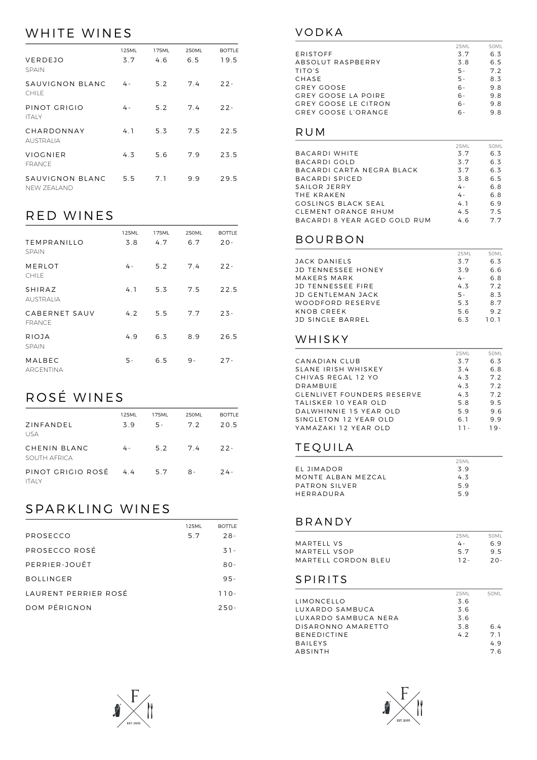# WHITE WINES

|                                 | 125ML | 175ML | 250ML | <b>BOTTLE</b> |
|---------------------------------|-------|-------|-------|---------------|
| VERDEJO<br><b>SPAIN</b>         | 3.7   | 4.6   | 6.5   | 19.5          |
| SAUVIGNON BLANC<br><b>CHILE</b> | 4 -   | 5.2   | 7.4   | $22 -$        |
| PINOT GRIGIO<br><b>ITAIY</b>    | 4 -   | 5.2   | 7.4   | $22 -$        |
| CHARDONNAY<br><b>AUSTRALIA</b>  | 4.1   | 5.3   | 7.5   | 22.5          |
| VIOGNIER<br><b>FRANCE</b>       | 4.3   | 5.6   | 7.9   | 23.5          |
| SAUVIGNON BLANC<br>NFW ZFAI AND | 5.5   | 7.1   | 9.9   | 29.5          |

# RED WINES

|                                    | 125ML | 175ML | <b>250ML</b> | <b>BOTTLE</b> |
|------------------------------------|-------|-------|--------------|---------------|
| <b>TEMPRANILLO</b><br><b>SPAIN</b> | 3.8   | 4.7   | 6.7          | $20 -$        |
| MERLOT<br><b>CHILE</b>             | 4 -   | 5.2   | 7.4          | $22 -$        |
| SHIRAZ<br><b>AUSTRALIA</b>         | 4.1   | 5.3   | 7.5          | 22.5          |
| CABERNET SAUV<br><b>FRANCE</b>     | 4.2   | 5.5   | 7.7          | $23 -$        |
| RIOJA<br><b>SPAIN</b>              | 4.9   | 6.3   | 8.9          | 26.5          |
| MALBEC<br>ARGENTINA                | 5 -   | 6.5   | 9 -          | $27 -$        |

# ROSÉ WINES

| ZINFANDEL<br>USA                      | 125ML<br>39 | 175ML<br>5 - | 250ML<br>7.2 | <b>BOTTLE</b><br>20.5 |
|---------------------------------------|-------------|--------------|--------------|-----------------------|
| CHENIN BLANC<br>SOUTH AFRICA          | 4 -         |              | 5.2 7.4      | $22 -$                |
| PINOT GRIGIO ROSÉ 4.4<br><b>ITAIY</b> |             | 5.7          | $8-$         | $24 -$                |

# SPARKLING WINES

|                      | 125ML | <b>BOTTLE</b> |
|----------------------|-------|---------------|
| PROSECCO             | 5.7   | $28 -$        |
| PROSECCO ROSÉ        |       | $31 -$        |
| PERRIER-JOUËT        |       | $80 -$        |
| <b>BOLLINGER</b>     |       | $95 -$        |
| LAURENT PERRIER ROSÉ |       | $110 -$       |
| DOM PÉRIGNON         |       | $250 -$       |



|                      | 25ML  | 50MI |
|----------------------|-------|------|
| ERISTOFF             | 3.7   | 6.3  |
| ABSOLUT RASPBERRY    | 3.8   | 6.5  |
| TITO'S               | $5 -$ | 7.2  |
| CHASE                | $5 -$ | 83   |
| GREY GOOSE           |       | 9.8  |
| GREY GOOSE LA POIRE  |       | 9.8  |
| GREY GOOSE LE CITRON |       | 9.8  |
| GREY GOOSE L'ORANGE  | . ნ   | 9.8  |
|                      |       |      |

#### RUM

|                              | 25ML | 50MI |
|------------------------------|------|------|
| BACARDI WHITE                | 3.7  | 63   |
| BACARDI GOLD                 | 3.7  | 6.3  |
| BACARDI CARTA NEGRA BLACK    | 3.7  | 6.3  |
| BACARDI SPICED               | 3.8  | 6.5  |
| SAILOR JERRY                 | 4 -  | 68   |
| THE KRAKEN                   | 4 -  | 6.8  |
| GOSLINGS BLACK SEAL          | 4 1  | 69   |
| CLEMENT ORANGE RHUM          | 4.5  | 75   |
| BACARDI 8 YEAR AGED GOLD RUM | 4.6  | 77   |

#### BOURBON

|                          | 25ML  | 50ML |
|--------------------------|-------|------|
| JACK DANIELS             | 3.7   | 6.3  |
| JD TENNESSEE HONEY       | 39    | 6.6  |
| MAKERS MARK              | 4 -   | 6.8  |
| <b>JD TENNESSEE FIRE</b> | 4.3   | 7.2  |
| JD GENTLEMAN JACK        | $5 -$ | 83   |
| WOODFORD RESERVE         | 53    | 87   |
| KNOB CREEK               | 5.6   | 9.2  |
| JD SINGLE BARREL         | 63    | 101  |

### WHISKY

| 25ML | 50MI |
|------|------|
| 3.7  | 6.3  |
| 3.4  | 6.8  |
| 4.3  | 72   |
| 4.3  | 72   |
| 4.3  | 72   |
| 5.8  | 95   |
| 5.9  | 9.6  |
| 6.1  | 99   |
| 11-  | 19-  |
|      |      |

### TEQUILA

|                    | 25ML |
|--------------------|------|
| FI JIMADOR         | 39   |
| MONTE AIRAN MEZCAL | 43   |
| PATRON SILVER      | 59   |
| HERRADURA          | 59   |

### BRANDY

|                     | 25ML   | 50ML  |
|---------------------|--------|-------|
| MARTELL VS          | 4 -    | 69    |
| MARTELL VSOP        | 57     | 95    |
| MARTELL CORDON BLEU | $12 -$ | $20-$ |

#### SPIRITS

|                      | 25ML | 50ML |
|----------------------|------|------|
| LIMONCELLO           | 3.6  |      |
| LUXARDO SAMBUCA      | 3.6  |      |
| LUXARDO SAMBUCA NERA | 3.6  |      |
| DISARONNO AMARETTO   | 3.8  | 64   |
| <b>BENEDICTINE</b>   | 47   | 7 1  |
| <b>BAILEYS</b>       |      | 49   |
| ABSINTH              |      | 76   |